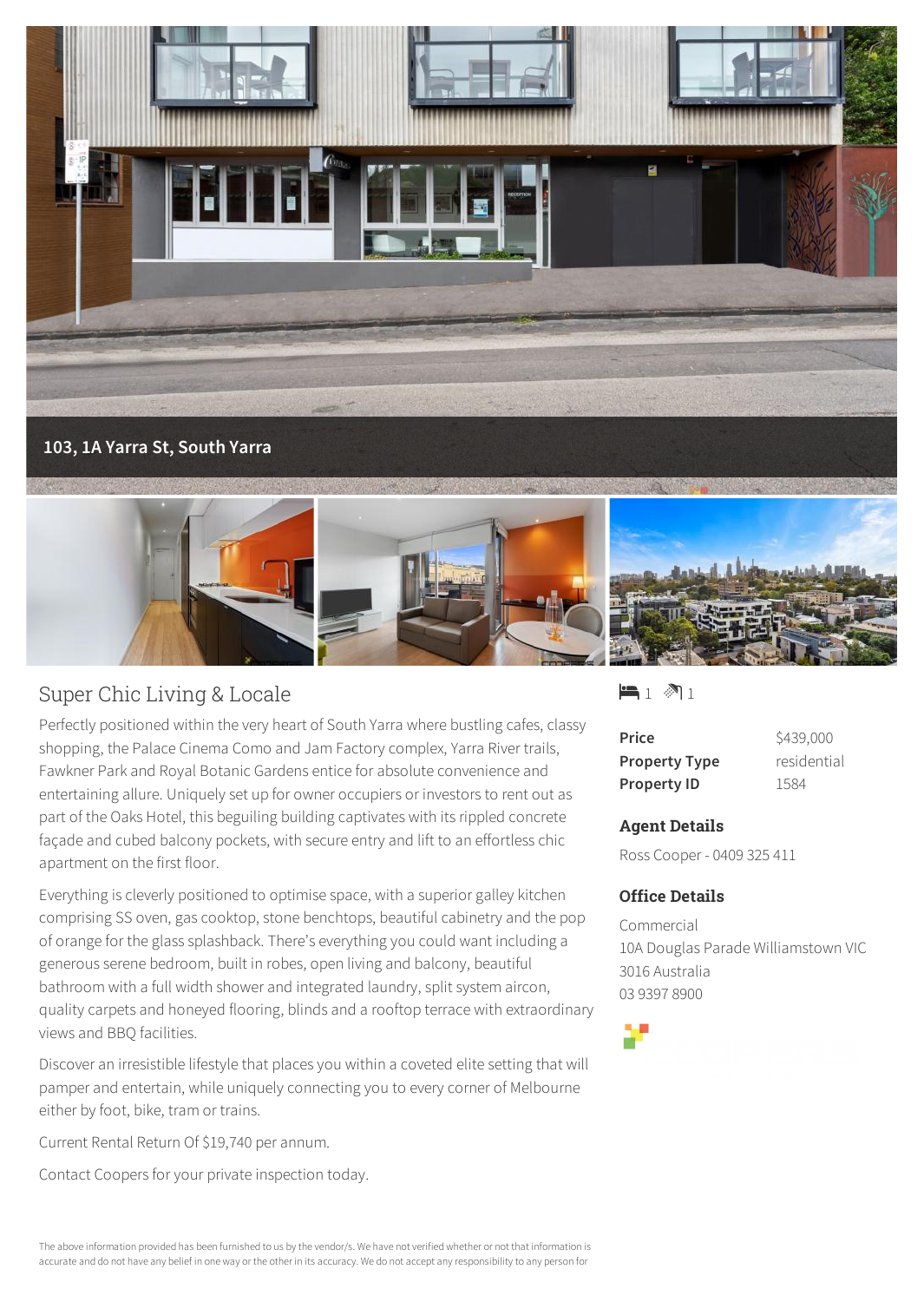



## Super Chic Living & Locale

Perfectly positioned within the very heart of South Yarra where bustling cafes, classy shopping, the Palace Cinema Como and Jam Factory complex, Yarra River trails, Fawkner Park and Royal Botanic Gardens entice for absolute convenience and entertaining allure. Uniquely set up for owner occupiers or investors to rent out as part of the Oaks Hotel, this beguiling building captivates with its rippled concrete façade and cubed balcony pockets, with secure entry and lift to an effortless chic apartment on the first floor.

Everything is cleverly positioned to optimise space, with a superior galley kitchen comprising SS oven, gas cooktop, stone benchtops, beautiful cabinetry and the pop of orange for the glass splashback. There's everything you could want including a generous serene bedroom, built in robes, open living and balcony, beautiful bathroom with a full width shower and integrated laundry, split system aircon, quality carpets and honeyed flooring, blinds and a rooftop terrace with extraordinary views and BBQ facilities.

Discover an irresistible lifestyle that places you within a coveted elite setting that will pamper and entertain, while uniquely connecting you to every corner of Melbourne either by foot, bike, tram or trains.

Current Rental Return Of \$19,740 per annum.

Contact Coopers for your private inspection today.

 $-1$   $\mathbb{R}$  1

| Price                | \$439,000   |
|----------------------|-------------|
| <b>Property Type</b> | residential |
| <b>Property ID</b>   | 1584        |

## **Agent Details**

Ross Cooper - 0409 325 411

## **Office Details**

Commercial 10A Douglas Parade Williamstown VIC 3016 Australia 03 9397 8900